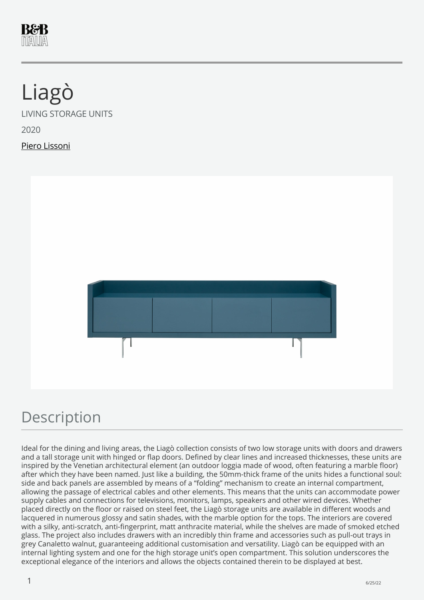

# Liagò

LIVING STORAGE UNITS

2020

Piero Lissoni



### Description

Ideal for the dining and living areas, the Liagò collection consists of two low storage units with doors and drawers and a tall storage unit with hinged or flap doors. Defined by clear lines and increased thicknesses, these units are inspired by the Venetian architectural element (an outdoor loggia made of wood, often featuring a marble floor) after which they have been named. Just like a building, the 50mm-thick frame of the units hides a functional soul: side and back panels are assembled by means of a "folding" mechanism to create an internal compartment, allowing the passage of electrical cables and other elements. This means that the units can accommodate power supply cables and connections for televisions, monitors, lamps, speakers and other wired devices. Whether placed directly on the floor or raised on steel feet, the Liagò storage units are available in different woods and lacquered in numerous glossy and satin shades, with the marble option for the tops. The interiors are covered with a silky, anti-scratch, anti-fingerprint, matt anthracite material, while the shelves are made of smoked etched glass. The project also includes drawers with an incredibly thin frame and accessories such as pull-out trays in grey Canaletto walnut, guaranteeing additional customisation and versatility. Liagò can be equipped with an internal lighting system and one for the high storage unit's open compartment. This solution underscores the exceptional elegance of the interiors and allows the objects contained therein to be displayed at best.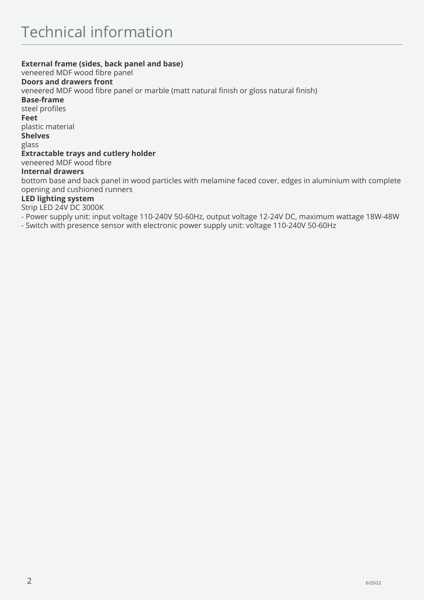#### **External frame (sides, back panel and base)**

veneered MDF wood fibre panel

#### **Doors and drawers front**

veneered MDF wood fibre panel or marble (matt natural finish or gloss natural finish)

**Base-frame** 

steel profiles

**Feet** 

plastic material

**Shelves** 

glass

#### **Extractable trays and cutlery holder**

veneered MDF wood fibre

#### **Internal drawers**

bottom base and back panel in wood particles with melamine faced cover, edges in aluminium with complete opening and cushioned runners

#### **LED lighting system**

Strip LED 24V DC 3000K

- Power supply unit: input voltage 110-240V 50-60Hz, output voltage 12-24V DC, maximum wattage 18W-48W

- Switch with presence sensor with electronic power supply unit: voltage 110-240V 50-60Hz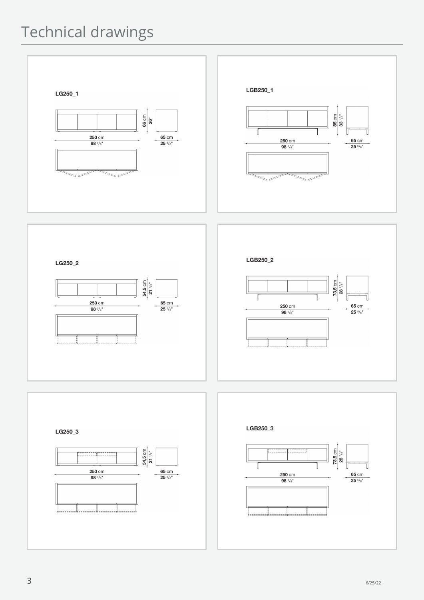## Technical drawings